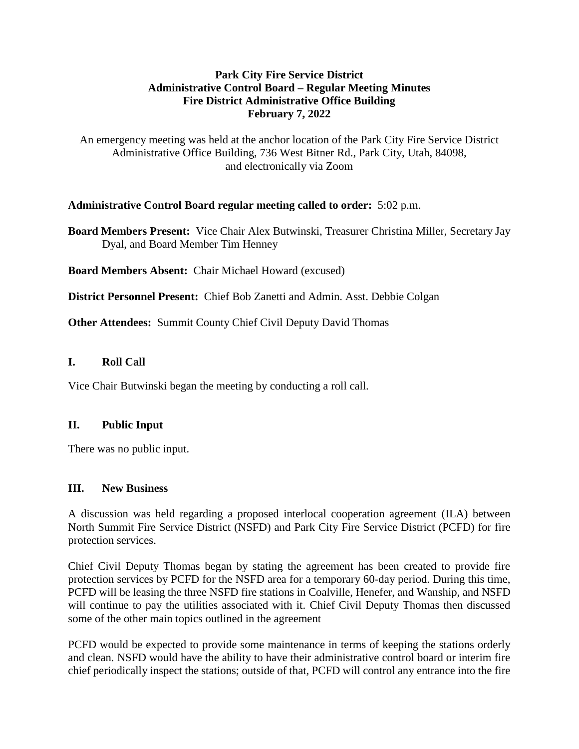## **Park City Fire Service District Administrative Control Board – Regular Meeting Minutes Fire District Administrative Office Building February 7, 2022**

An emergency meeting was held at the anchor location of the Park City Fire Service District Administrative Office Building, 736 West Bitner Rd., Park City, Utah, 84098, and electronically via Zoom

## **Administrative Control Board regular meeting called to order:** 5:02 p.m.

**Board Members Present:** Vice Chair Alex Butwinski, Treasurer Christina Miller, Secretary Jay Dyal, and Board Member Tim Henney

**Board Members Absent:** Chair Michael Howard (excused)

**District Personnel Present:** Chief Bob Zanetti and Admin. Asst. Debbie Colgan

**Other Attendees:** Summit County Chief Civil Deputy David Thomas

## **I. Roll Call**

Vice Chair Butwinski began the meeting by conducting a roll call.

#### **II. Public Input**

There was no public input.

#### **III. New Business**

A discussion was held regarding a proposed interlocal cooperation agreement (ILA) between North Summit Fire Service District (NSFD) and Park City Fire Service District (PCFD) for fire protection services.

Chief Civil Deputy Thomas began by stating the agreement has been created to provide fire protection services by PCFD for the NSFD area for a temporary 60-day period. During this time, PCFD will be leasing the three NSFD fire stations in Coalville, Henefer, and Wanship, and NSFD will continue to pay the utilities associated with it. Chief Civil Deputy Thomas then discussed some of the other main topics outlined in the agreement

PCFD would be expected to provide some maintenance in terms of keeping the stations orderly and clean. NSFD would have the ability to have their administrative control board or interim fire chief periodically inspect the stations; outside of that, PCFD will control any entrance into the fire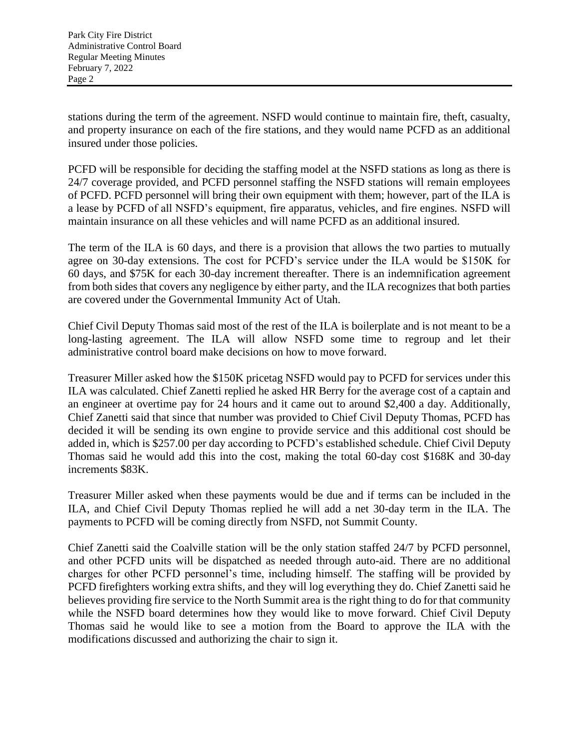stations during the term of the agreement. NSFD would continue to maintain fire, theft, casualty, and property insurance on each of the fire stations, and they would name PCFD as an additional insured under those policies.

PCFD will be responsible for deciding the staffing model at the NSFD stations as long as there is 24/7 coverage provided, and PCFD personnel staffing the NSFD stations will remain employees of PCFD. PCFD personnel will bring their own equipment with them; however, part of the ILA is a lease by PCFD of all NSFD's equipment, fire apparatus, vehicles, and fire engines. NSFD will maintain insurance on all these vehicles and will name PCFD as an additional insured.

The term of the ILA is 60 days, and there is a provision that allows the two parties to mutually agree on 30-day extensions. The cost for PCFD's service under the ILA would be \$150K for 60 days, and \$75K for each 30-day increment thereafter. There is an indemnification agreement from both sides that covers any negligence by either party, and the ILA recognizes that both parties are covered under the Governmental Immunity Act of Utah.

Chief Civil Deputy Thomas said most of the rest of the ILA is boilerplate and is not meant to be a long-lasting agreement. The ILA will allow NSFD some time to regroup and let their administrative control board make decisions on how to move forward.

Treasurer Miller asked how the \$150K pricetag NSFD would pay to PCFD for services under this ILA was calculated. Chief Zanetti replied he asked HR Berry for the average cost of a captain and an engineer at overtime pay for 24 hours and it came out to around \$2,400 a day. Additionally, Chief Zanetti said that since that number was provided to Chief Civil Deputy Thomas, PCFD has decided it will be sending its own engine to provide service and this additional cost should be added in, which is \$257.00 per day according to PCFD's established schedule. Chief Civil Deputy Thomas said he would add this into the cost, making the total 60-day cost \$168K and 30-day increments \$83K.

Treasurer Miller asked when these payments would be due and if terms can be included in the ILA, and Chief Civil Deputy Thomas replied he will add a net 30-day term in the ILA. The payments to PCFD will be coming directly from NSFD, not Summit County.

Chief Zanetti said the Coalville station will be the only station staffed 24/7 by PCFD personnel, and other PCFD units will be dispatched as needed through auto-aid. There are no additional charges for other PCFD personnel's time, including himself. The staffing will be provided by PCFD firefighters working extra shifts, and they will log everything they do. Chief Zanetti said he believes providing fire service to the North Summit area is the right thing to do for that community while the NSFD board determines how they would like to move forward. Chief Civil Deputy Thomas said he would like to see a motion from the Board to approve the ILA with the modifications discussed and authorizing the chair to sign it.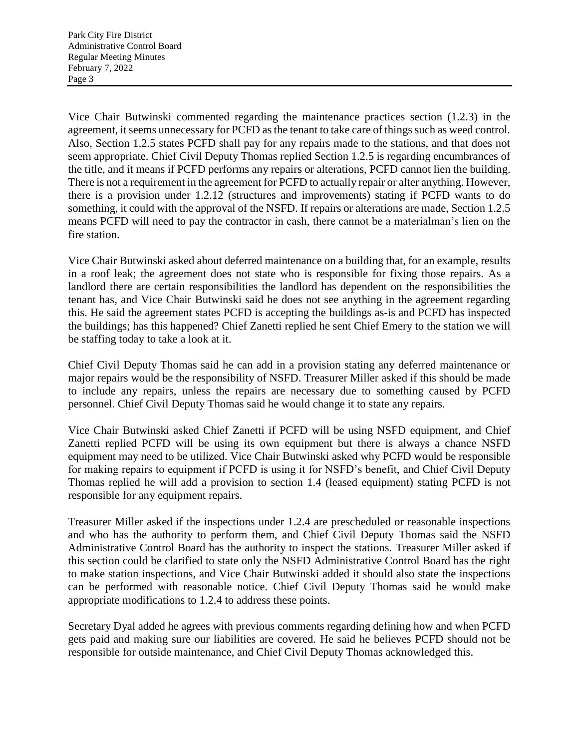Vice Chair Butwinski commented regarding the maintenance practices section (1.2.3) in the agreement, it seems unnecessary for PCFD as the tenant to take care of things such as weed control. Also, Section 1.2.5 states PCFD shall pay for any repairs made to the stations, and that does not seem appropriate. Chief Civil Deputy Thomas replied Section 1.2.5 is regarding encumbrances of the title, and it means if PCFD performs any repairs or alterations, PCFD cannot lien the building. There is not a requirement in the agreement for PCFD to actually repair or alter anything. However, there is a provision under 1.2.12 (structures and improvements) stating if PCFD wants to do something, it could with the approval of the NSFD. If repairs or alterations are made, Section 1.2.5 means PCFD will need to pay the contractor in cash, there cannot be a materialman's lien on the fire station.

Vice Chair Butwinski asked about deferred maintenance on a building that, for an example, results in a roof leak; the agreement does not state who is responsible for fixing those repairs. As a landlord there are certain responsibilities the landlord has dependent on the responsibilities the tenant has, and Vice Chair Butwinski said he does not see anything in the agreement regarding this. He said the agreement states PCFD is accepting the buildings as-is and PCFD has inspected the buildings; has this happened? Chief Zanetti replied he sent Chief Emery to the station we will be staffing today to take a look at it.

Chief Civil Deputy Thomas said he can add in a provision stating any deferred maintenance or major repairs would be the responsibility of NSFD. Treasurer Miller asked if this should be made to include any repairs, unless the repairs are necessary due to something caused by PCFD personnel. Chief Civil Deputy Thomas said he would change it to state any repairs.

Vice Chair Butwinski asked Chief Zanetti if PCFD will be using NSFD equipment, and Chief Zanetti replied PCFD will be using its own equipment but there is always a chance NSFD equipment may need to be utilized. Vice Chair Butwinski asked why PCFD would be responsible for making repairs to equipment if PCFD is using it for NSFD's benefit, and Chief Civil Deputy Thomas replied he will add a provision to section 1.4 (leased equipment) stating PCFD is not responsible for any equipment repairs.

Treasurer Miller asked if the inspections under 1.2.4 are prescheduled or reasonable inspections and who has the authority to perform them, and Chief Civil Deputy Thomas said the NSFD Administrative Control Board has the authority to inspect the stations. Treasurer Miller asked if this section could be clarified to state only the NSFD Administrative Control Board has the right to make station inspections, and Vice Chair Butwinski added it should also state the inspections can be performed with reasonable notice. Chief Civil Deputy Thomas said he would make appropriate modifications to 1.2.4 to address these points.

Secretary Dyal added he agrees with previous comments regarding defining how and when PCFD gets paid and making sure our liabilities are covered. He said he believes PCFD should not be responsible for outside maintenance, and Chief Civil Deputy Thomas acknowledged this.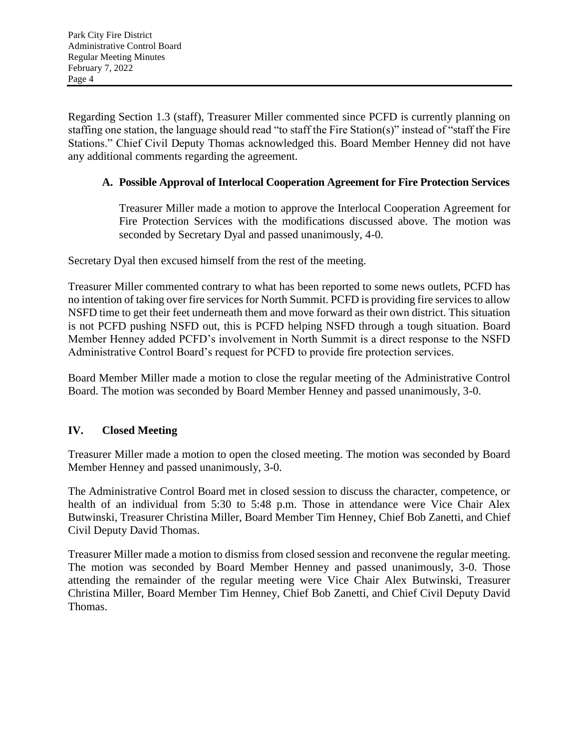Regarding Section 1.3 (staff), Treasurer Miller commented since PCFD is currently planning on staffing one station, the language should read "to staff the Fire Station(s)" instead of "staff the Fire Stations." Chief Civil Deputy Thomas acknowledged this. Board Member Henney did not have any additional comments regarding the agreement.

# **A. Possible Approval of Interlocal Cooperation Agreement for Fire Protection Services**

Treasurer Miller made a motion to approve the Interlocal Cooperation Agreement for Fire Protection Services with the modifications discussed above. The motion was seconded by Secretary Dyal and passed unanimously, 4-0.

Secretary Dyal then excused himself from the rest of the meeting.

Treasurer Miller commented contrary to what has been reported to some news outlets, PCFD has no intention of taking over fire services for North Summit. PCFD is providing fire services to allow NSFD time to get their feet underneath them and move forward as their own district. This situation is not PCFD pushing NSFD out, this is PCFD helping NSFD through a tough situation. Board Member Henney added PCFD's involvement in North Summit is a direct response to the NSFD Administrative Control Board's request for PCFD to provide fire protection services.

Board Member Miller made a motion to close the regular meeting of the Administrative Control Board. The motion was seconded by Board Member Henney and passed unanimously, 3-0.

## **IV. Closed Meeting**

Treasurer Miller made a motion to open the closed meeting. The motion was seconded by Board Member Henney and passed unanimously, 3-0.

The Administrative Control Board met in closed session to discuss the character, competence, or health of an individual from 5:30 to 5:48 p.m. Those in attendance were Vice Chair Alex Butwinski, Treasurer Christina Miller, Board Member Tim Henney, Chief Bob Zanetti, and Chief Civil Deputy David Thomas.

Treasurer Miller made a motion to dismiss from closed session and reconvene the regular meeting. The motion was seconded by Board Member Henney and passed unanimously, 3-0. Those attending the remainder of the regular meeting were Vice Chair Alex Butwinski, Treasurer Christina Miller, Board Member Tim Henney, Chief Bob Zanetti, and Chief Civil Deputy David Thomas.